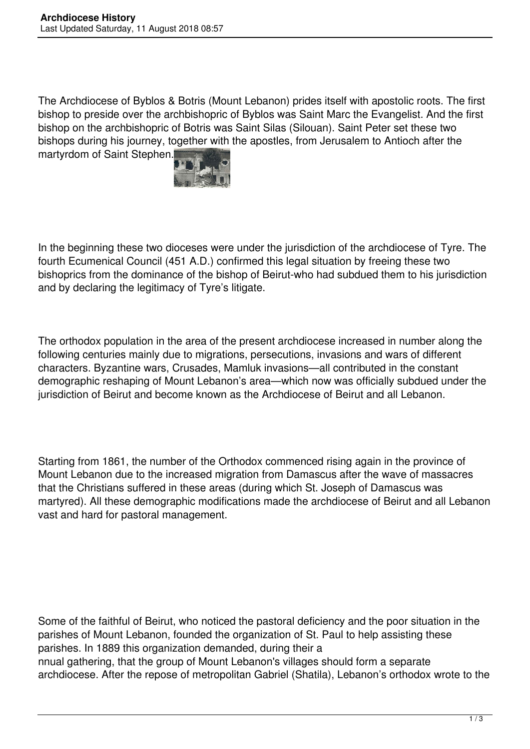The Archdiocese of Byblos & Botris (Mount Lebanon) prides itself with apostolic roots. The first bishop to preside over the archbishopric of Byblos was Saint Marc the Evangelist. And the first bishop on the archbishopric of Botris was Saint Silas (Silouan). Saint Peter set these two bishops during his journey, together with the apostles, from Jerusalem to Antioch after the martyrdom of Saint Stephen.



In the beginning these two dioceses were under the jurisdiction of the archdiocese of Tyre. The fourth Ecumenical Council (451 A.D.) confirmed this legal situation by freeing these two bishoprics from the dominance of the bishop of Beirut-who had subdued them to his jurisdiction and by declaring the legitimacy of Tyre's litigate.

The orthodox population in the area of the present archdiocese increased in number along the following centuries mainly due to migrations, persecutions, invasions and wars of different characters. Byzantine wars, Crusades, Mamluk invasions—all contributed in the constant demographic reshaping of Mount Lebanon's area—which now was officially subdued under the jurisdiction of Beirut and become known as the Archdiocese of Beirut and all Lebanon.

Starting from 1861, the number of the Orthodox commenced rising again in the province of Mount Lebanon due to the increased migration from Damascus after the wave of massacres that the Christians suffered in these areas (during which St. Joseph of Damascus was martyred). All these demographic modifications made the archdiocese of Beirut and all Lebanon vast and hard for pastoral management.

Some of the faithful of Beirut, who noticed the pastoral deficiency and the poor situation in the parishes of Mount Lebanon, founded the organization of St. Paul to help assisting these parishes. In 1889 this organization demanded, during their a nnual gathering, that the group of Mount Lebanon's villages should form a separate archdiocese. After the repose of metropolitan Gabriel (Shatila), Lebanon's orthodox wrote to the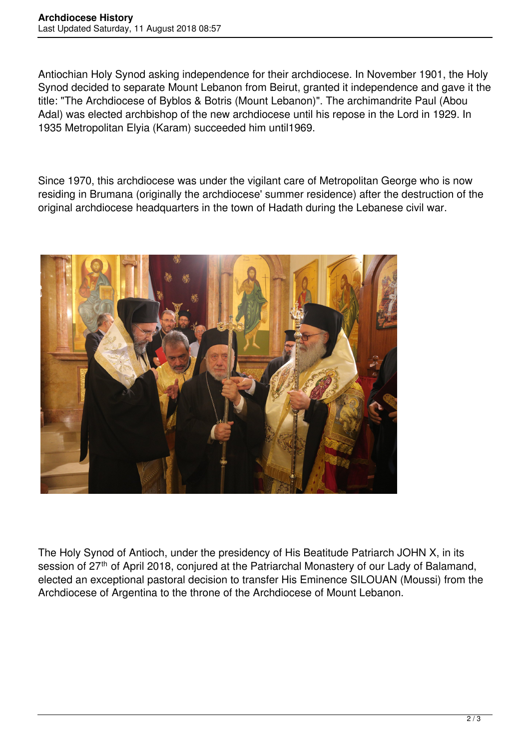Antiochian Holy Synod asking independence for their archdiocese. In November 1901, the Holy Synod decided to separate Mount Lebanon from Beirut, granted it independence and gave it the title: "The Archdiocese of Byblos & Botris (Mount Lebanon)". The archimandrite Paul (Abou Adal) was elected archbishop of the new archdiocese until his repose in the Lord in 1929. In 1935 Metropolitan Elyia (Karam) succeeded him until1969.

Since 1970, this archdiocese was under the vigilant care of Metropolitan George who is now residing in Brumana (originally the archdiocese' summer residence) after the destruction of the original archdiocese headquarters in the town of Hadath during the Lebanese civil war.



The Holy Synod of Antioch, under the presidency of His Beatitude Patriarch JOHN X, in its session of 27<sup>th</sup> of April 2018, conjured at the Patriarchal Monastery of our Lady of Balamand, elected an exceptional pastoral decision to transfer His Eminence SILOUAN (Moussi) from the Archdiocese of Argentina to the throne of the Archdiocese of Mount Lebanon.